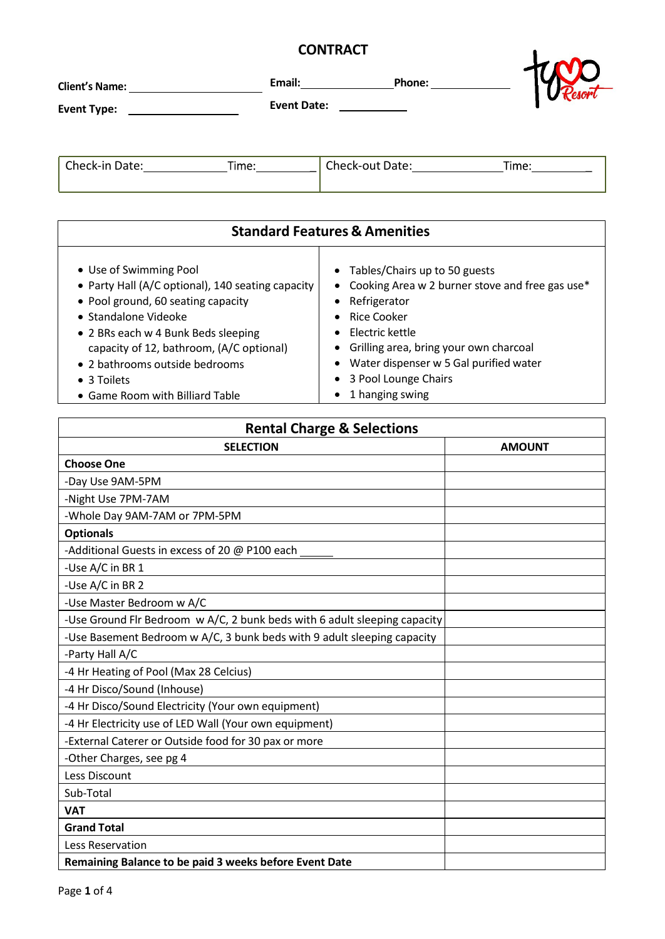## **CONTRACT**

| <b>CONTRACT</b>                                                                                                                                                                                                                                                                                                  |                                                                                                                                                                                                                                                                                                       |  |
|------------------------------------------------------------------------------------------------------------------------------------------------------------------------------------------------------------------------------------------------------------------------------------------------------------------|-------------------------------------------------------------------------------------------------------------------------------------------------------------------------------------------------------------------------------------------------------------------------------------------------------|--|
|                                                                                                                                                                                                                                                                                                                  | Email: Phone:                                                                                                                                                                                                                                                                                         |  |
|                                                                                                                                                                                                                                                                                                                  | Event Date: Event Date:                                                                                                                                                                                                                                                                               |  |
| Check-in Date: Time:                                                                                                                                                                                                                                                                                             |                                                                                                                                                                                                                                                                                                       |  |
|                                                                                                                                                                                                                                                                                                                  | <b>Standard Features &amp; Amenities</b>                                                                                                                                                                                                                                                              |  |
| • Use of Swimming Pool<br>• Party Hall (A/C optional), 140 seating capacity<br>• Pool ground, 60 seating capacity<br>• Standalone Videoke<br>• 2 BRs each w 4 Bunk Beds sleeping<br>capacity of 12, bathroom, (A/C optional)<br>• 2 bathrooms outside bedrooms<br>• 3 Toilets<br>• Game Room with Billiard Table | • Tables/Chairs up to 50 guests<br>• Cooking Area w 2 burner stove and free gas use*<br>• Refrigerator<br>Rice Cooker<br>$\bullet$<br>Electric kettle<br>• Grilling area, bring your own charcoal<br>• Water dispenser w 5 Gal purified water<br>3 Pool Lounge Chairs<br>$\bullet$<br>1 hanging swing |  |

| <b>Rental Charge &amp; Selections</b>                                     |               |  |
|---------------------------------------------------------------------------|---------------|--|
| <b>SELECTION</b>                                                          | <b>AMOUNT</b> |  |
| <b>Choose One</b>                                                         |               |  |
| -Day Use 9AM-5PM                                                          |               |  |
| -Night Use 7PM-7AM                                                        |               |  |
| -Whole Day 9AM-7AM or 7PM-5PM                                             |               |  |
| <b>Optionals</b>                                                          |               |  |
| -Additional Guests in excess of 20 @ P100 each                            |               |  |
| -Use A/C in BR 1                                                          |               |  |
| -Use A/C in BR 2                                                          |               |  |
| -Use Master Bedroom w A/C                                                 |               |  |
| -Use Ground Flr Bedroom w A/C, 2 bunk beds with 6 adult sleeping capacity |               |  |
| -Use Basement Bedroom w A/C, 3 bunk beds with 9 adult sleeping capacity   |               |  |
| -Party Hall A/C                                                           |               |  |
| -4 Hr Heating of Pool (Max 28 Celcius)                                    |               |  |
| -4 Hr Disco/Sound (Inhouse)                                               |               |  |
| -4 Hr Disco/Sound Electricity (Your own equipment)                        |               |  |
| -4 Hr Electricity use of LED Wall (Your own equipment)                    |               |  |
| -External Caterer or Outside food for 30 pax or more                      |               |  |
| -Other Charges, see pg 4                                                  |               |  |
| Less Discount                                                             |               |  |
| Sub-Total                                                                 |               |  |
| <b>VAT</b>                                                                |               |  |
| <b>Grand Total</b>                                                        |               |  |
| Less Reservation                                                          |               |  |
| Remaining Balance to be paid 3 weeks before Event Date                    |               |  |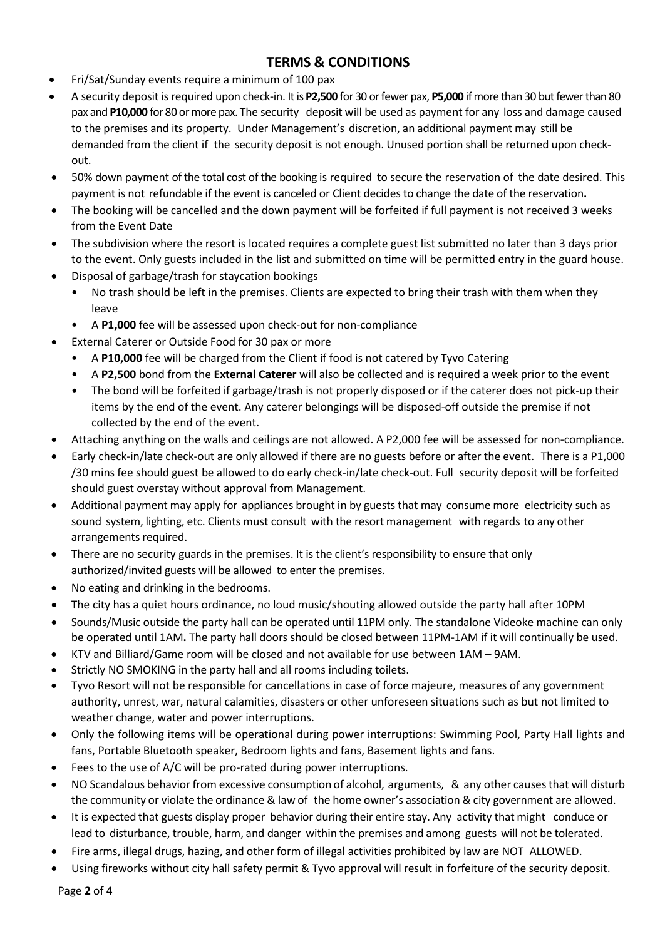## **TERMS & CONDITIONS**

- Fri/Sat/Sunday events require a minimum of 100 pax
- A security deposit is required upon check-in. It is **P2,500** for 30 or fewer pax, **P5,000** if more than 30 but fewer than 80 pax and **P10,000** for 80 or more pax. The security deposit will be used as payment for any loss and damage caused to the premises and its property. Under Management's discretion, an additional payment may still be demanded from the client if the security deposit is not enough. Unused portion shall be returned upon checkout.
- 50% down payment of the total cost of the booking is required to secure the reservation of the date desired. This payment is not refundable if the event is canceled or Client decides to change the date of the reservation**.**
- The booking will be cancelled and the down payment will be forfeited if full payment is not received 3 weeks from the Event Date
- The subdivision where the resort is located requires a complete guest list submitted no later than 3 days prior to the event. Only guests included in the list and submitted on time will be permitted entry in the guard house.
- Disposal of garbage/trash for staycation bookings
	- No trash should be left in the premises. Clients are expected to bring their trash with them when they leave
	- A **P1,000** fee will be assessed upon check-out for non-compliance
- External Caterer or Outside Food for 30 pax or more
	- A **P10,000** fee will be charged from the Client if food is not catered by Tyvo Catering
	- A **P2,500** bond from the **External Caterer** will also be collected and is required a week prior to the event
	- The bond will be forfeited if garbage/trash is not properly disposed or if the caterer does not pick-up their items by the end of the event. Any caterer belongings will be disposed-off outside the premise if not collected by the end of the event.
- Attaching anything on the walls and ceilings are not allowed. A P2,000 fee will be assessed for non-compliance.
- Early check-in/late check-out are only allowed if there are no guests before or after the event. There is a P1,000 /30 mins fee should guest be allowed to do early check-in/late check-out. Full security deposit will be forfeited should guest overstay without approval from Management.
- Additional payment may apply for appliances brought in by guests that may consume more electricity such as sound system, lighting, etc. Clients must consult with the resort management with regards to any other arrangements required.
- There are no security guards in the premises. It is the client's responsibility to ensure that only authorized/invited guests will be allowed to enter the premises.
- No eating and drinking in the bedrooms.
- The city has a quiet hours ordinance, no loud music/shouting allowed outside the party hall after 10PM
- Sounds/Music outside the party hall can be operated until 11PM only. The standalone Videoke machine can only be operated until 1AM**.** The party hall doors should be closed between 11PM-1AM if it will continually be used.
- KTV and Billiard/Game room will be closed and not available for use between 1AM 9AM.
- Strictly NO SMOKING in the party hall and all rooms including toilets.
- Tyvo Resort will not be responsible for cancellations in case of force majeure, measures of any government authority, unrest, war, natural calamities, disasters or other unforeseen situations such as but not limited to weather change, water and power interruptions.
- Only the following items will be operational during power interruptions: Swimming Pool, Party Hall lights and fans, Portable Bluetooth speaker, Bedroom lights and fans, Basement lights and fans.
- Fees to the use of A/C will be pro-rated during power interruptions.
- NO Scandalous behavior from excessive consumption of alcohol, arguments, & any other causes that will disturb the community or violate the ordinance & law of the home owner's association & city government are allowed.
- It is expected that guests display proper behavior during their entire stay. Any activity that might conduce or lead to disturbance, trouble, harm, and danger within the premises and among guests will not be tolerated.
- Fire arms, illegal drugs, hazing, and other form of illegal activities prohibited by law are NOT ALLOWED.
- Using fireworks without city hall safety permit & Tyvo approval will result in forfeiture of the security deposit.

Page **2** of 4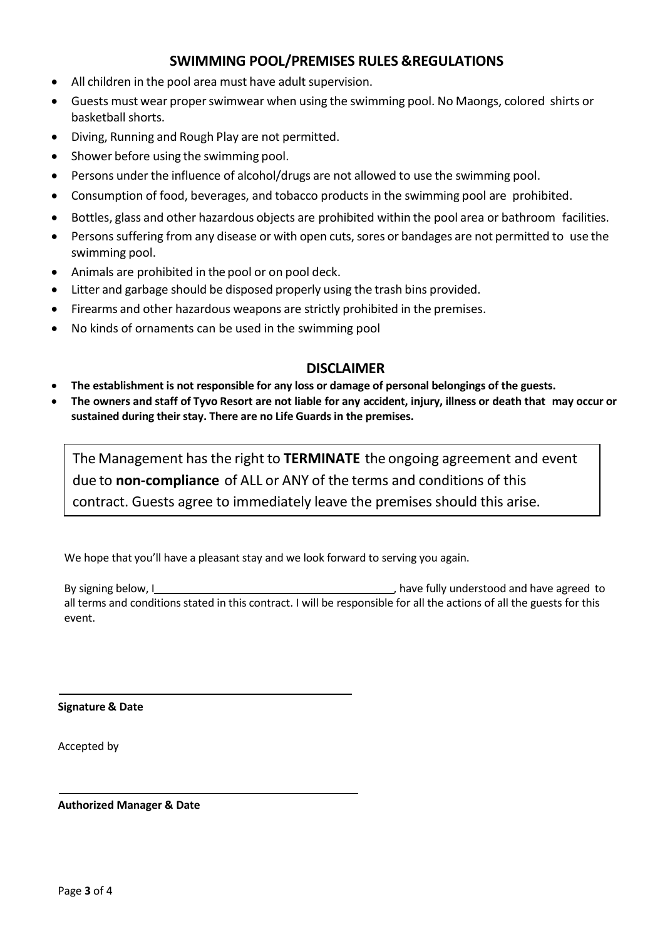## **SWIMMING POOL/PREMISES RULES & REGULATIONS**

- All children in the pool area must have adult supervision.
- Guests must wear properswimwear when using the swimming pool. No Maongs, colored shirts or basketball shorts.
- Diving, Running and Rough Play are not permitted.
- Shower before using the swimming pool.
- Persons under the influence of alcohol/drugs are not allowed to use the swimming pool.
- Consumption of food, beverages, and tobacco products in the swimming pool are prohibited.
- Bottles, glass and other hazardous objects are prohibited within the pool area or bathroom facilities.
- Persons suffering from any disease or with open cuts, sores or bandages are not permitted to use the swimming pool.
- Animals are prohibited in the pool or on pool deck.
- Litter and garbage should be disposed properly using the trash bins provided.
- Firearms and other hazardous weapons are strictly prohibited in the premises.
- No kinds of ornaments can be used in the swimming pool

## **DISCLAIMER**

- **The establishment is not responsible for any loss or damage of personal belongings of the guests.**
- The owners and staff of Tyvo Resort are not liable for any accident, injury, illness or death that may occur or **sustained during theirstay. There are no Life Guardsin the premises.**

The Management hasthe right to **TERMINATE** the ongoing agreement and event due to **non-compliance** of ALL or ANY of the terms and conditions of this contract. Guests agree to immediately leave the premises should this arise.

We hope that you'll have a pleasant stay and we look forward to serving you again.

By signing below, I and the same state of the state of the state of the state of the state of the state of the state of the state of the state of the state of the state of the state of the state of the state of the state o all terms and conditions stated in this contract. I will be responsible for all the actions of all the guests for this event.

**Signature & Date**

Accepted by

**Authorized Manager & Date**